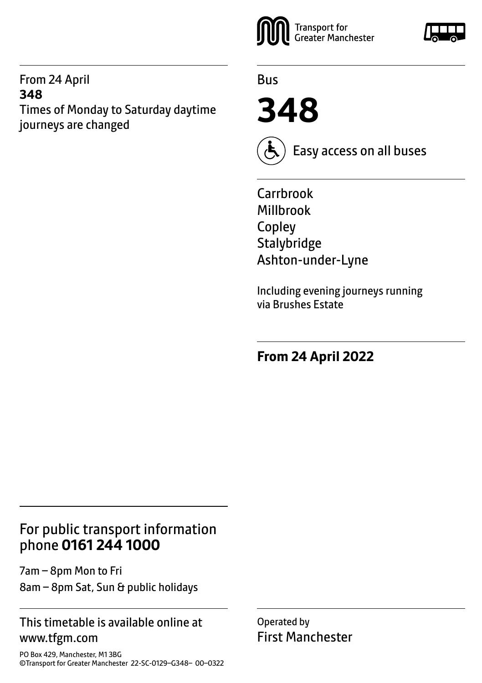#### From 24 April **348** Times of Monday to Saturday daytime journeys are changed



Bus

**348**



Easy access on all buses

Carrbrook Millbrook Copley **Stalybridge** Ashton-under-Lyne

Including evening journeys running via Brushes Estate

**From 24 April 2022**

# For public transport information phone **0161 244 1000**

7am – 8pm Mon to Fri 8am – 8pm Sat, Sun & public holidays

#### This timetable is available online at www.tfgm.com

PO Box 429, Manchester, M1 3BG ©Transport for Greater Manchester 22-SC-0129–G348– 00–0322 Operated by First Manchester

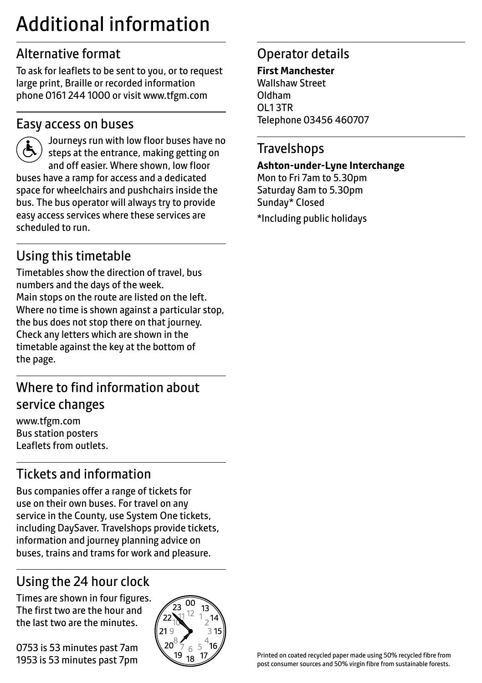# Additional information

# Alternative format

To ask for leaflets to be sent to you, or to request large print, Braille or recorded information phone 0161 244 1000 or visit www.tfgm.com

#### Easy access on buses



 Journeys run with low floor buses have no steps at the entrance, making getting on and off easier. Where shown, low floor buses have a ramp for access and a dedicated space for wheelchairs and pushchairs inside the bus. The bus operator will always try to provide easy access services where these services are scheduled to run.

# Using this timetable

Timetables show the direction of travel, bus numbers and the days of the week. Main stops on the route are listed on the left. Where no time is shown against a particular stop, the bus does not stop there on that journey. Check any letters which are shown in the timetable against the key at the bottom of the page.

# Where to find information about service changes

www.tfgm.com Bus station posters Leaflets from outlets.

# Tickets and information

Bus companies offer a range of tickets for use on their own buses. For travel on any service in the County, use System One tickets, including DaySaver. Travelshops provide tickets, information and journey planning advice on buses, trains and trams for work and pleasure.

# Using the 24 hour clock

Times are shown in four figures. The first two are the hour and the last two are the minutes.

0753 is 53 minutes past 7am 1953 is 53 minutes past 7pm



## Operator details

**First Manchester** Wallshaw Street Oldham OL1 3TR Telephone 03456 460707

#### **Travelshops**

**Ashton-under-Lyne Interchange** Mon to Fri 7am to 5.30pm Saturday 8am to 5.30pm Sunday\* Closed \*Including public holidays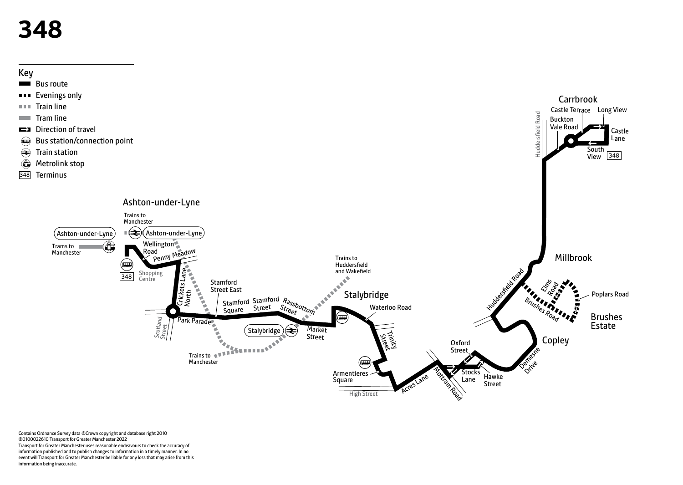# **348**



Contains Ordnance Survey data ©Crown copyright and database right 2010 ©0100022610 Transport for Greater Manchester 2022 Transport for Greater Manchester uses reasonable endeavours to check the accuracy of information published and to publish changes to information in a timely manner. In no event will Transport for Greater Manchester be liable for any loss that may arise from this information being inaccurate.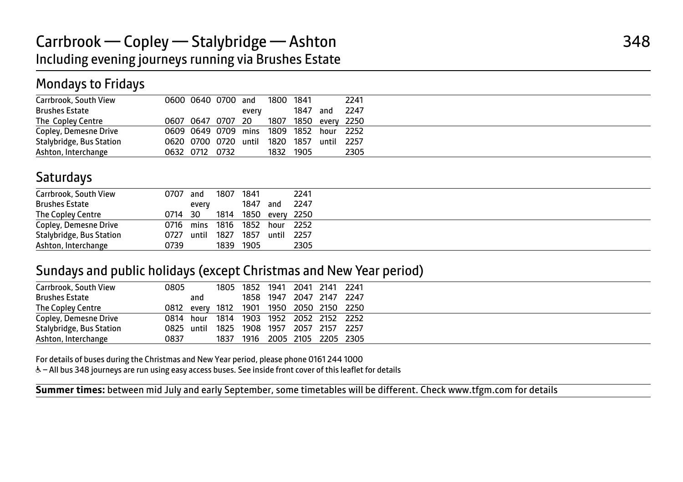## Mondays to Fridays

| Carrbrook, South View    | 0600 0640 0700 and   |  |       | 1800 1841 |           | 2241                 |
|--------------------------|----------------------|--|-------|-----------|-----------|----------------------|
| <b>Brushes Estate</b>    |                      |  | every |           | 1847 and  | 2247                 |
| The Copley Centre        | 0607 0647 0707 20    |  |       |           |           | 1807 1850 every 2250 |
| Copley, Demesne Drive    | 0609 0649 0709 mins  |  |       |           | 1809 1852 | hour 2252            |
| Stalybridge, Bus Station | 0620 0700 0720 until |  |       | 1820      | 1857      | until 2257           |
| Ashton, Interchange      | 0632 0712 0732       |  |       | 1832      | 1905      | 2305                 |

#### **Saturdays**

| Carrbrook, South View    | 0707       | and   | 1807                          | 1841            |            | 2241 |
|--------------------------|------------|-------|-------------------------------|-----------------|------------|------|
|                          |            |       |                               |                 |            |      |
| <b>Brushes Estate</b>    |            | every |                               | 1847 and        |            | 2247 |
| The Copley Centre        | 0714 30    |       | 1814                          | 1850 every 2250 |            |      |
| Copley, Demesne Drive    |            |       | 0716 mins 1816 1852 hour 2252 |                 |            |      |
| Stalybridge, Bus Station | 0727 until |       | 1827 1857                     |                 | until 2257 |      |
| Ashton, Interchange      | 0739       |       | 1839                          | 1905            |            | 2305 |

#### Sundays and public holidays (except Christmas and New Year period)

| Carrbrook, South View    | 0805       |     |      |      | 1805 1852 1941 2041 2141 2241            |  |  |
|--------------------------|------------|-----|------|------|------------------------------------------|--|--|
| <b>Brushes Estate</b>    |            | and |      |      | 1858 1947 2047 2147 2247                 |  |  |
| The Copley Centre        |            |     |      |      | 0812 every 1812 1901 1950 2050 2150 2250 |  |  |
| Copley, Demesne Drive    | 0814 hour  |     |      |      | 1814 1903 1952 2052 2152 2252            |  |  |
| Stalybridge, Bus Station | 0825 until |     |      |      | 1825 1908 1957 2057 2157 2257            |  |  |
| Ashton, Interchange      | 0837       |     | 1837 | 1916 | 2005 2105 2205 2305                      |  |  |

For details of buses during the Christmas and New Year period, please phone 0161 244 1000

I

W– All bus 348 journeys are run using easy access buses. See inside front cover of this leaflet for details

**Summer times:** between mid July and early September, some timetables will be different. Check www.tfgm.com for details